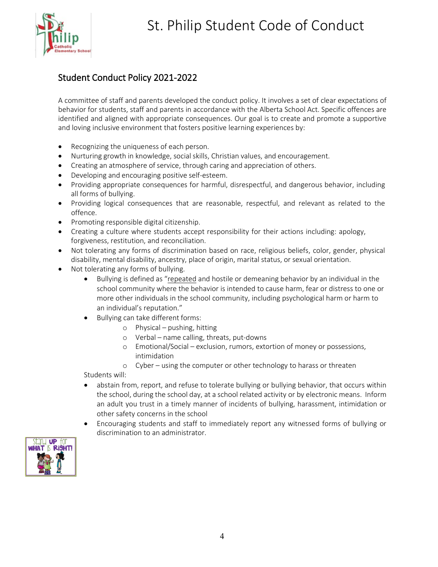# St. Philip Student Code of Conduct



# Student Conduct Policy 2021-2022

A committee of staff and parents developed the conduct policy. It involves a set of clear expectations of behavior for students, staff and parents in accordance with the Alberta School Act. Specific offences are identified and aligned with appropriate consequences. Our goal is to create and promote a supportive and loving inclusive environment that fosters positive learning experiences by:

- Recognizing the uniqueness of each person.
- Nurturing growth in knowledge, social skills, Christian values, and encouragement.
- Creating an atmosphere of service, through caring and appreciation of others.
- Developing and encouraging positive self-esteem.
- Providing appropriate consequences for harmful, disrespectful, and dangerous behavior, including all forms of bullying.
- Providing logical consequences that are reasonable, respectful, and relevant as related to the offence.
- Promoting responsible digital citizenship.
- Creating a culture where students accept responsibility for their actions including: apology, forgiveness, restitution, and reconciliation.
- Not tolerating any forms of discrimination based on race, religious beliefs, color, gender, physical disability, mental disability, ancestry, place of origin, marital status, or sexual orientation.
- Not tolerating any forms of bullying.
	- Bullying is defined as "repeated and hostile or demeaning behavior by an individual in the school community where the behavior is intended to cause harm, fear or distress to one or more other individuals in the school community, including psychological harm or harm to an individual's reputation."
	- Bullying can take different forms:
		- o Physical pushing, hitting
			- o Verbal name calling, threats, put-downs
			- o Emotional/Social exclusion, rumors, extortion of money or possessions, intimidation
			- o Cyber using the computer or other technology to harass or threaten

Students will:

- abstain from, report, and refuse to tolerate bullying or bullying behavior, that occurs within the school, during the school day, at a school related activity or by electronic means. Inform an adult you trust in a timely manner of incidents of bullying, harassment, intimidation or other safety concerns in the school
- Encouraging students and staff to immediately report any witnessed forms of bullying or discrimination to an administrator.

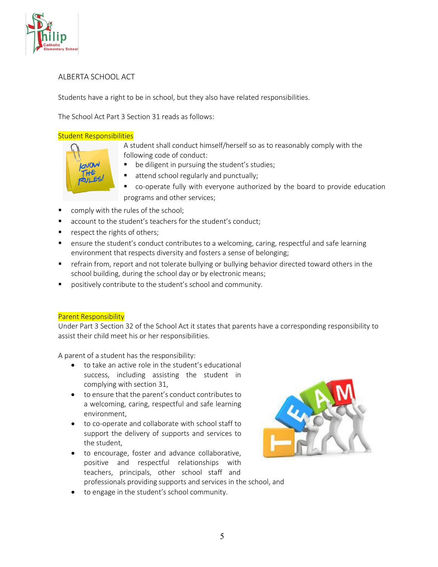

## ALBERTA SCHOOL ACT

Students have a right to be in school, but they also have related responsibilities.

The School Act Part 3 Section 31 reads as follows:

### Student Responsibilities

A student shall conduct himself/herself so as to reasonably comply with the following code of conduct:



- be diligent in pursuing the student's studies;
- attend school regularly and punctually;
- co-operate fully with everyone authorized by the board to provide education programs and other services;
- comply with the rules of the school;
- account to the student's teachers for the student's conduct;
- **Part Fights of others;**
- ensure the student's conduct contributes to a welcoming, caring, respectful and safe learning environment that respects diversity and fosters a sense of belonging;
- **F** refrain from, report and not tolerate bullying or bullying behavior directed toward others in the school building, during the school day or by electronic means;
- positively contribute to the student's school and community.

#### Parent Responsibility

Under Part 3 Section 32 of the School Act it states that parents have a corresponding responsibility to assist their child meet his or her responsibilities.

A parent of a student has the responsibility:

- to take an active role in the student's educational success, including assisting the student in complying with section 31,
- to ensure that the parent's conduct contributes to a welcoming, caring, respectful and safe learning environment,
- to co-operate and collaborate with school staff to support the delivery of supports and services to the student,
- to encourage, foster and advance collaborative, positive and respectful relationships with teachers, principals, other school staff and professionals providing supports and services in the school, and



• to engage in the student's school community.